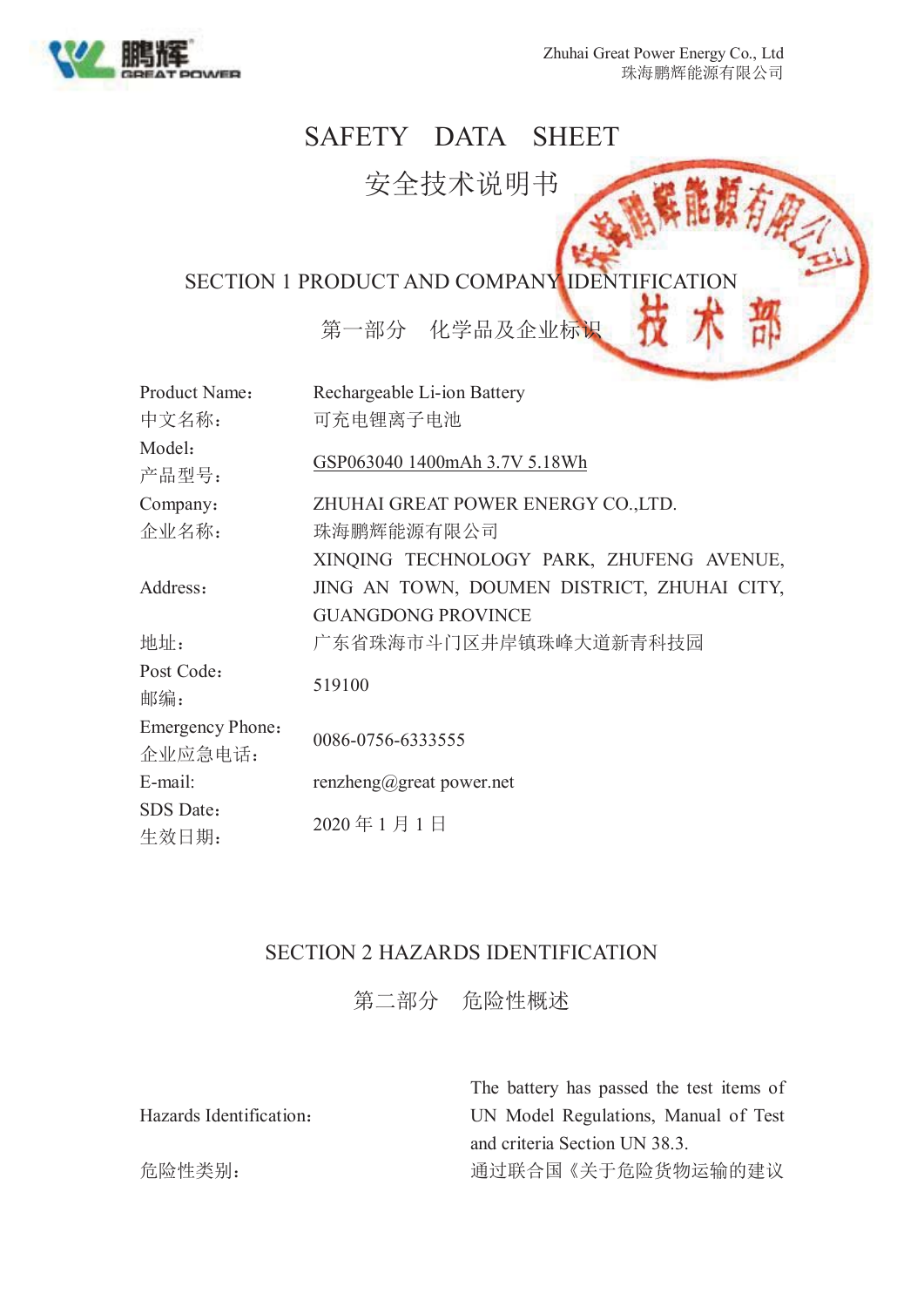

 $\frac{1}{2}$ 

# SAFETY DATA SHEET

安全技术说明书

SECTION 1 PRODUCT AND COMPANY IDENTIFICATION

第一部分 化学品及企业标识

| Product Name:                      | Rechargeable Li-ion Battery                 |  |
|------------------------------------|---------------------------------------------|--|
| 中文名称:                              | 可充电锂离子电池                                    |  |
| Model:<br>产品型号:                    | GSP063040 1400mAh 3.7V 5.18Wh               |  |
| Company:                           | ZHUHAI GREAT POWER ENERGY CO.,LTD.          |  |
| 企业名称:                              | 珠海鹏辉能源有限公司                                  |  |
|                                    | XINQING TECHNOLOGY PARK, ZHUFENG AVENUE,    |  |
| Address:                           | JING AN TOWN, DOUMEN DISTRICT, ZHUHAI CITY, |  |
|                                    | <b>GUANGDONG PROVINCE</b>                   |  |
| 地址:                                | 广东省珠海市斗门区井岸镇珠峰大道新青科技园                       |  |
| Post Code:<br>邮编:                  | 519100                                      |  |
| <b>Emergency Phone:</b><br>企业应急电话: | 0086-0756-6333555                           |  |
| E-mail:                            | renzheng@great power.net                    |  |
| SDS Date:<br>生效日期:                 | 2020年1月1日                                   |  |

# SECTION 2 HAZARDS IDENTIFICATION

第二部分 危险性概述

|                         | The battery has passed the test items of |
|-------------------------|------------------------------------------|
| Hazards Identification: | UN Model Regulations, Manual of Test     |
|                         | and criteria Section UN 38.3.            |
| 危险性类别:                  | 通过联合国《关于危险货物运输的建议                        |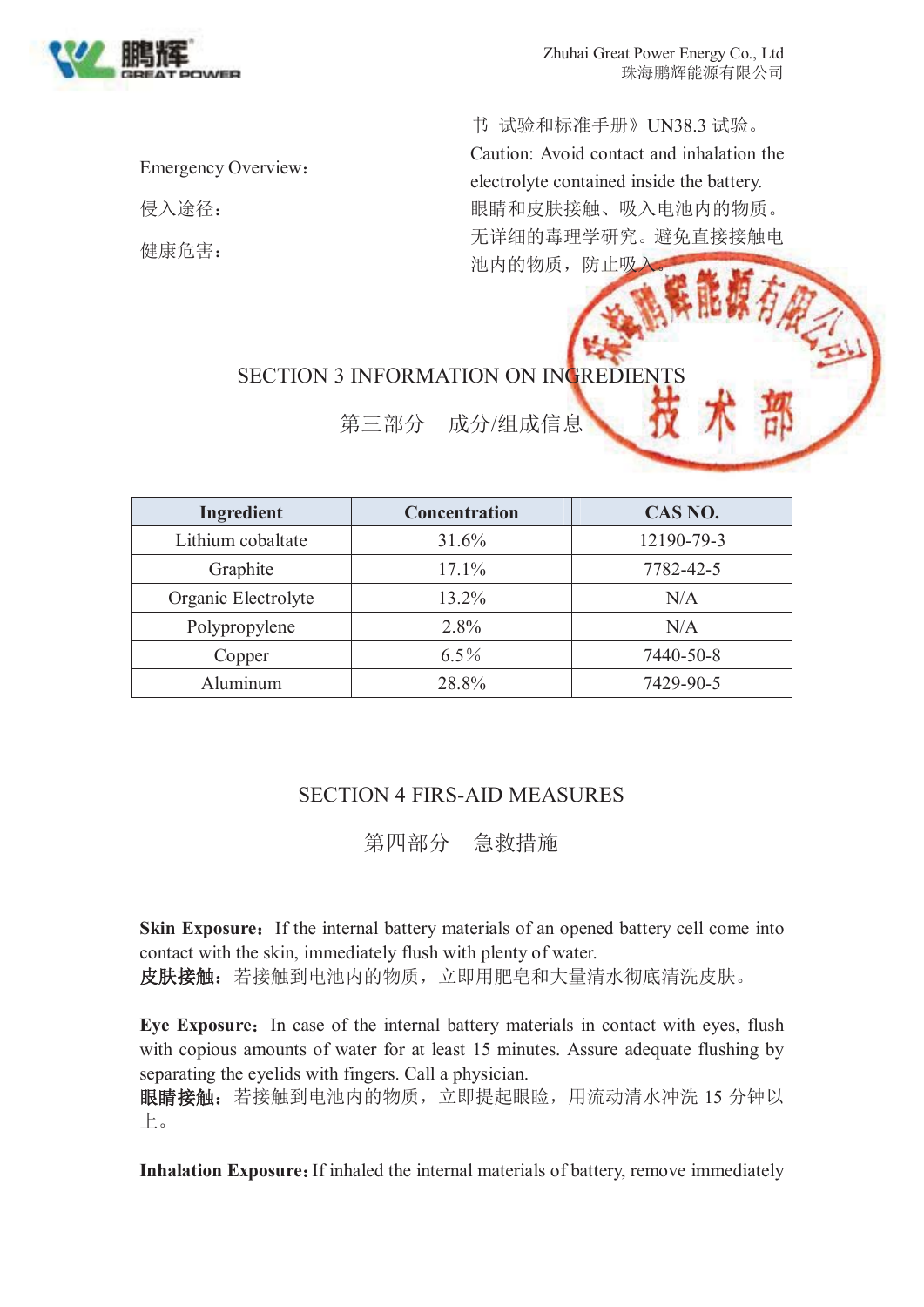

书 试验和标准手册》UN38.3 试验。 Emergency Overview: Caution: Avoid contact and inhalation the electrolyte contained inside the battery. 侵入途径: 眼睛和皮肤接触、吸入电池内的物质。 健康危害: カンテンスのコンティングの毒理学研究。避免直接接触电 池内的物质,防止吸)

SECTION 3 INFORMATION ON INGREDIENTS

第三部分 成分/组成信息

| Ingredient          | <b>Concentration</b> | CAS NO.    |
|---------------------|----------------------|------------|
| Lithium cobaltate   | 31.6%                | 12190-79-3 |
| Graphite            | $17.1\%$             | 7782-42-5  |
| Organic Electrolyte | 13.2%                | N/A        |
| Polypropylene       | 2.8%                 | N/A        |
| Copper              | $6.5\%$              | 7440-50-8  |
| Aluminum            | 28.8%                | 7429-90-5  |

# SECTION 4 FIRS-AID MEASURES

第四部分 急救措施

**Skin Exposure:** If the internal battery materials of an opened battery cell come into contact with the skin, immediately flush with plenty of water. 皮肤接触: 若接触到电池内的物质, 立即用肥皂和大量清水彻底清洗皮肤。

**Eye Exposure:** In case of the internal battery materials in contact with eyes, flush with copious amounts of water for at least 15 minutes. Assure adequate flushing by separating the eyelids with fingers. Call a physician.

眼睛接触:若接触到电池内的物质,立即提起眼睑,用流动清水冲洗 15 分钟以 上。

**Inhalation Exposure:** If inhaled the internal materials of battery, remove immediately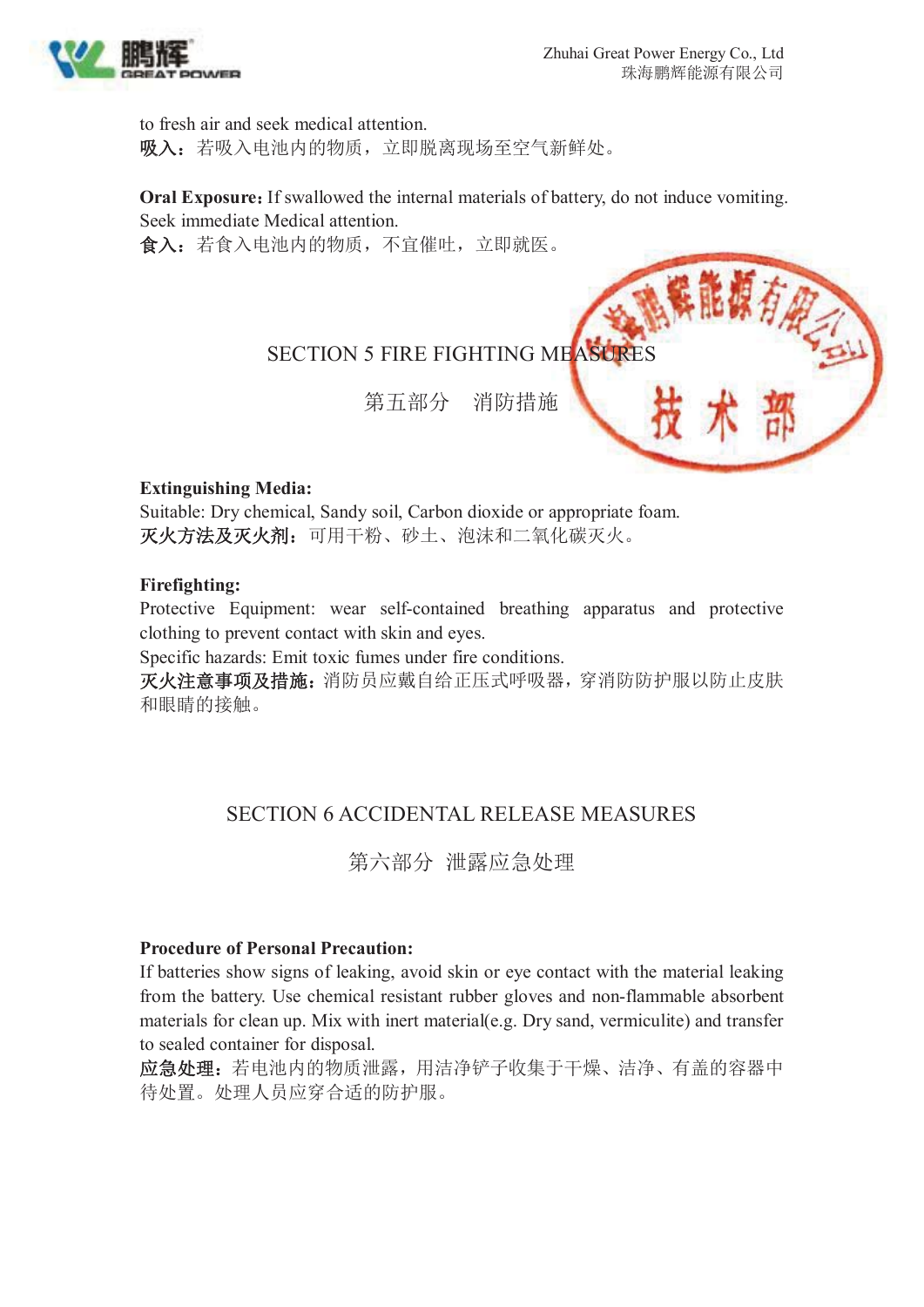

to fresh air and seek medical attention. 吸入:若吸入电池内的物质,立即脱离现场至空气新鲜处。

**Oral Exposure:** If swallowed the internal materials of battery, do not induce vomiting. Seek immediate Medical attention.

食入:若食入电池内的物质,不宜催吐,立即就医。

# SECTION 5 FIRE FIGHTING MEASURES

第五部分 消防措施

**Extinguishing Media:** 

Suitable: Dry chemical, Sandy soil, Carbon dioxide or appropriate foam. 灭火方法及灭火剂:可用干粉、砂土、泡沫和二氧化碳灭火。

### **Firefighting:**

Protective Equipment: wear self-contained breathing apparatus and protective clothing to prevent contact with skin and eyes.

Specific hazards: Emit toxic fumes under fire conditions.

灭火注意事项及措施:消防员应戴自给正压式呼吸器,穿消防防护服以防止皮肤 和眼睛的接触。

# SECTION 6 ACCIDENTAL RELEASE MEASURES

第六部分 泄露应急处理

### **Procedure of Personal Precaution:**

If batteries show signs of leaking, avoid skin or eye contact with the material leaking from the battery. Use chemical resistant rubber gloves and non-flammable absorbent materials for clean up. Mix with inert material(e.g. Dry sand, vermiculite) and transfer to sealed container for disposal.

应急处理:若电池内的物质泄露,用洁净铲子收集于干燥、洁净、有盖的容器中 待处置。处理人员应穿合适的防护服。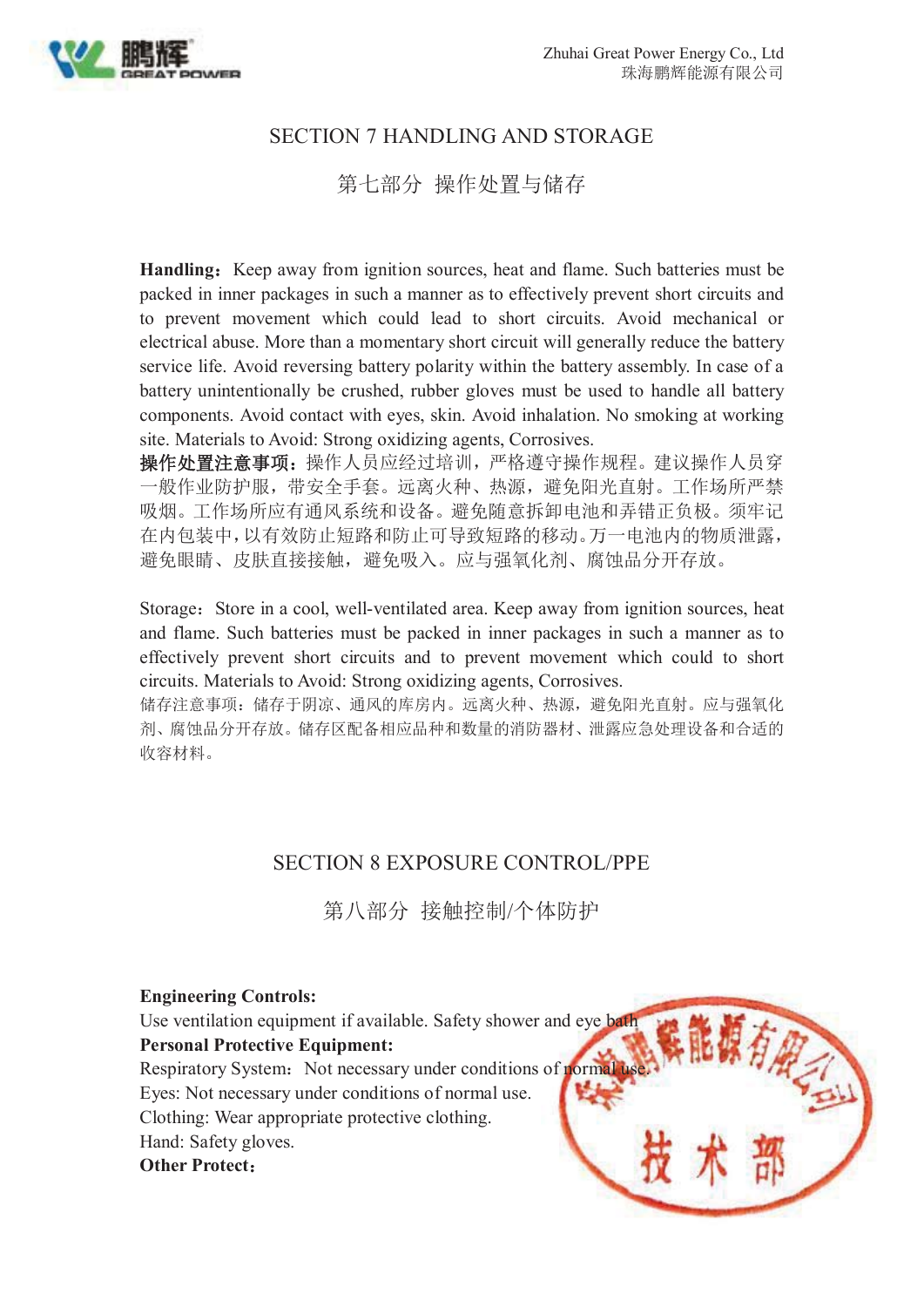

### SECTION 7 HANDLING AND STORAGE

### 第七部分 操作处置与储存

Handling: Keep away from ignition sources, heat and flame. Such batteries must be packed in inner packages in such a manner as to effectively prevent short circuits and to prevent movement which could lead to short circuits. Avoid mechanical or electrical abuse. More than a momentary short circuit will generally reduce the battery service life. Avoid reversing battery polarity within the battery assembly. In case of a battery unintentionally be crushed, rubber gloves must be used to handle all battery components. Avoid contact with eyes, skin. Avoid inhalation. No smoking at working site. Materials to Avoid: Strong oxidizing agents, Corrosives.

操作处置注意事项: 操作人员应经过培训,严格遵守操作规程。建议操作人员穿 一般作业防护服,带安全手套。远离火种、热源,避免阳光直射。工作场所严禁 吸烟。工作场所应有通风系统和设备。避免随意拆卸电池和弄错正负极。须牢记 在内包装中,以有效防止短路和防止可导致短路的移动。万一电池内的物质泄露, 避免眼睛、皮肤直接接触,避免吸入。应与强氧化剂、腐蚀品分开存放。

Storage: Store in a cool, well-ventilated area. Keep away from ignition sources, heat and flame. Such batteries must be packed in inner packages in such a manner as to effectively prevent short circuits and to prevent movement which could to short circuits. Materials to Avoid: Strong oxidizing agents, Corrosives.

储存注意事项:储存于阴凉、通风的库房内。远离火种、热源,避免阳光直射。应与强氧化 剂、腐蚀品分开存放。储存区配备相应品种和数量的消防器材、泄露应急处理设备和合适的 收容材料。

### SECTION 8 EXPOSURE CONTROL/PPE

第八部分 接触控制/个体防护

### **Engineering Controls:**

Use ventilation equipment if available. Safety shower and eye bath **Personal Protective Equipment:** 

Respiratory System: Not necessary under conditions of normal use. Eyes: Not necessary under conditions of normal use. Clothing: Wear appropriate protective clothing. Hand: Safety gloves. **Other Protect**:

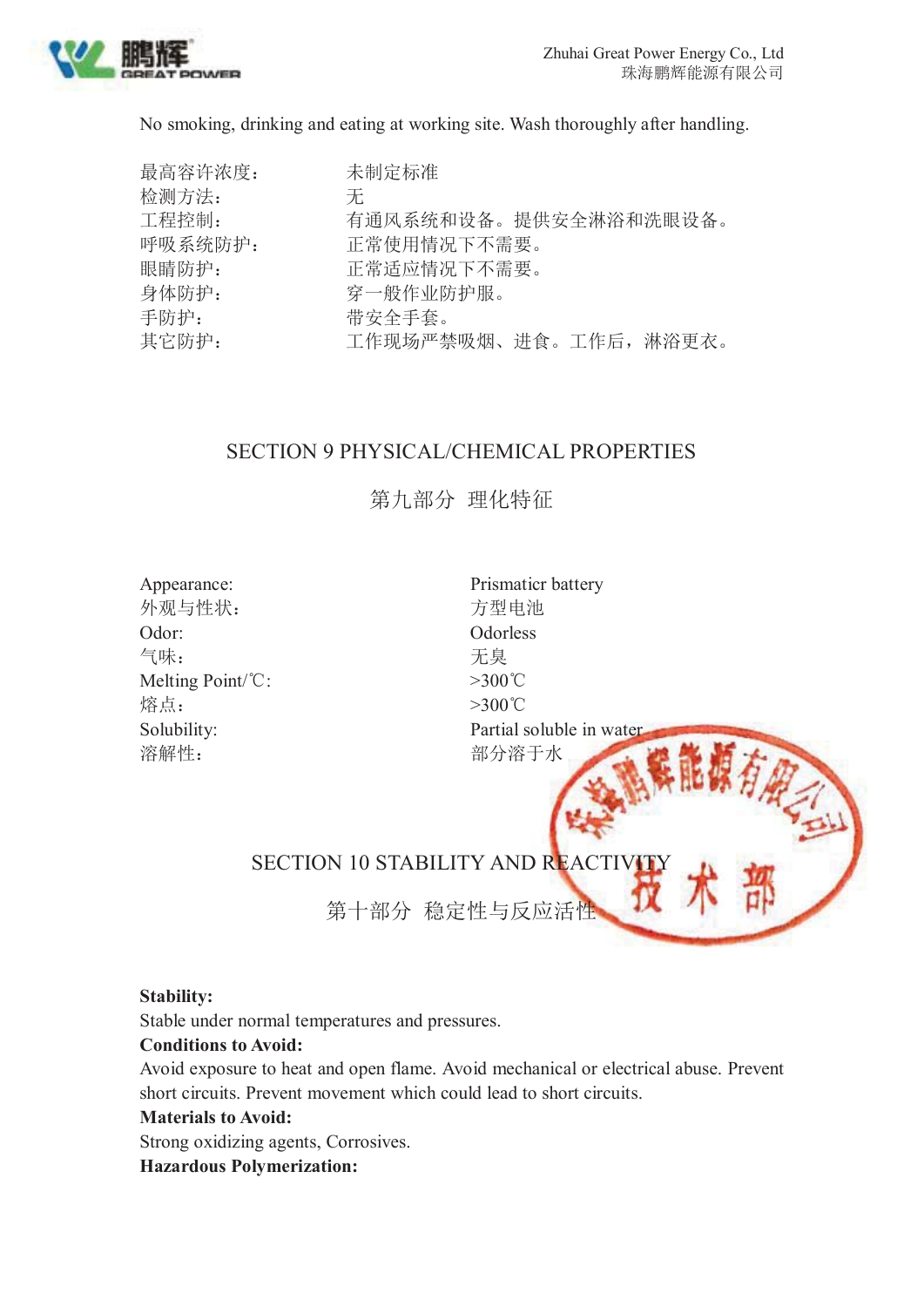

No smoking, drinking and eating at working site. Wash thoroughly after handling.

| 最高容许浓度: | 未制定标准                 |
|---------|-----------------------|
| 检测方法:   | 无                     |
| 工程控制:   | 有通风系统和设备。提供安全淋浴和洗眼设备。 |
| 呼吸系统防护: | 正常使用情况下不需要。           |
| 眼睛防护:   | 正常适应情况下不需要。           |
| 身体防护:   | 穿一般作业防护服。             |
| 手防护:    | 带安全手套。                |
| 其它防护:   | 工作现场严禁吸烟、进食。工作后,淋浴更衣。 |

### SECTION 9 PHYSICAL/CHEMICAL PROPERTIES

第九部分 理化特征

外观与性状: 方型电池 Odor: Odorless 气味: 无臭 Melting Point/°C: >300℃ 熔点: >300℃ 溶解性: 部分溶于水

Appearance: Prismaticr battery Solubility: Partial soluble in water 不可 **SECTION 10 STABILITY AND REACTI** 第十部分 稳定性与反应活性

### **Stability:**

Stable under normal temperatures and pressures.

### **Conditions to Avoid:**

Avoid exposure to heat and open flame. Avoid mechanical or electrical abuse. Prevent short circuits. Prevent movement which could lead to short circuits.

#### **Materials to Avoid:**

Strong oxidizing agents, Corrosives.

### **Hazardous Polymerization:**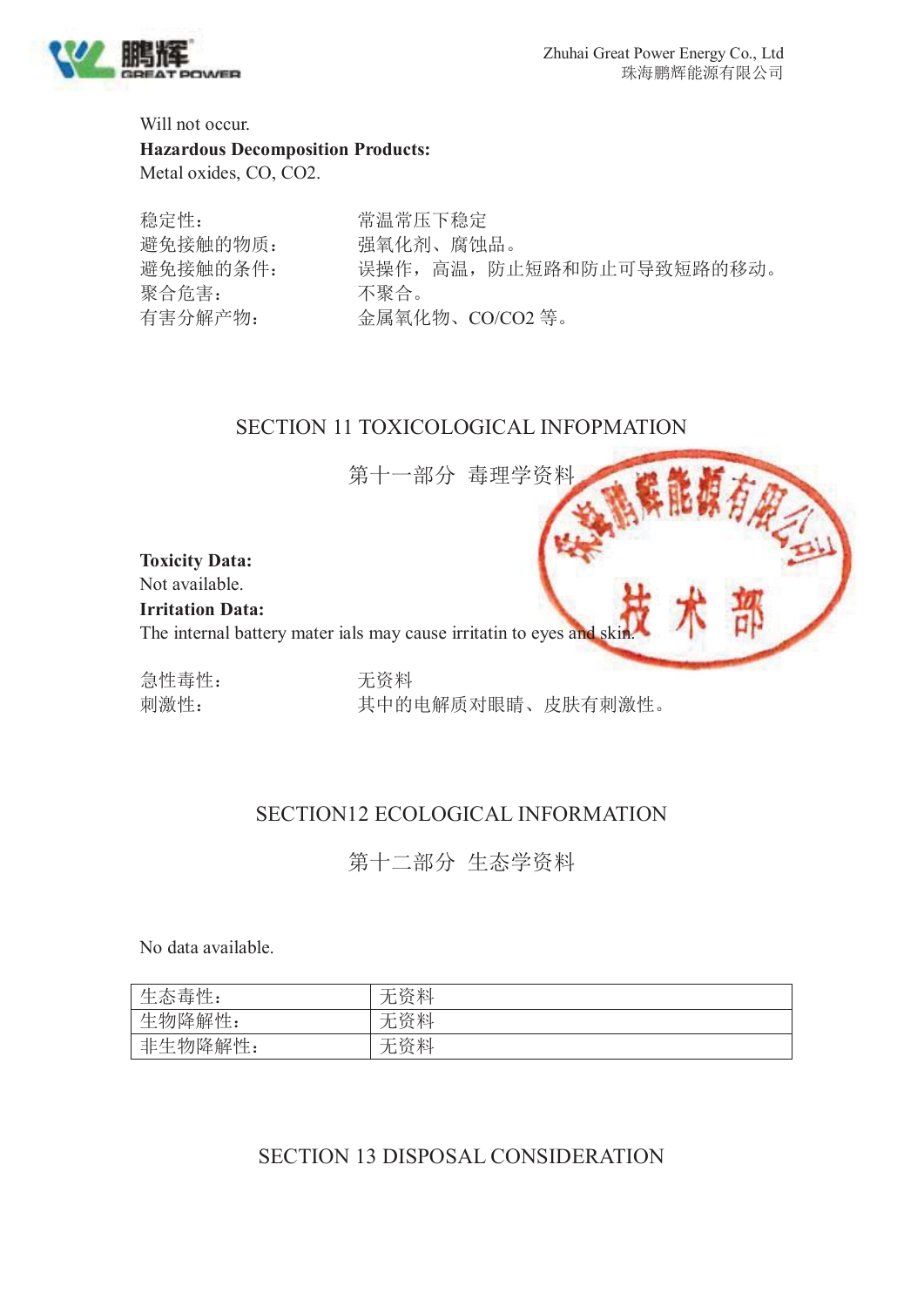

### Will not occur. **Hazardous Decomposition Products:**  Metal oxides, CO, CO2.

稳定性: 常温常压下稳定 聚合危害: 不聚合。

避免接触的物质: 强氧化剂、腐蚀品。 避免接触的条件: 误操作,高温,防止短路和防止可导致短路的移动。 有害分解产物: 金属氧化物、CO/CO2 等。

# SECTION 11 TOXICOLOGICAL INFOPMATION

第十一部分 毒理学资料

# **Toxicity Data:**

Not available.

### **Irritation Data:**

The internal battery mater ials may cause irritatin to eyes and ski

急性毒性: 无资料

刺激性: 其中的电解质对眼睛、皮肤有刺激性。

# SECTION12 ECOLOGICAL INFORMATION

第十二部分 生态学资料

No data available.

| 生态毒性:   | ジだ ホオ<br>科<br>চা |
|---------|------------------|
| 生物降解性:  | ゾハ<br>科<br>ΓTΙ   |
| 非生物降解性: | 料<br>ット・ナ<br>'nт |

# SECTION 13 DISPOSAL CONSIDERATION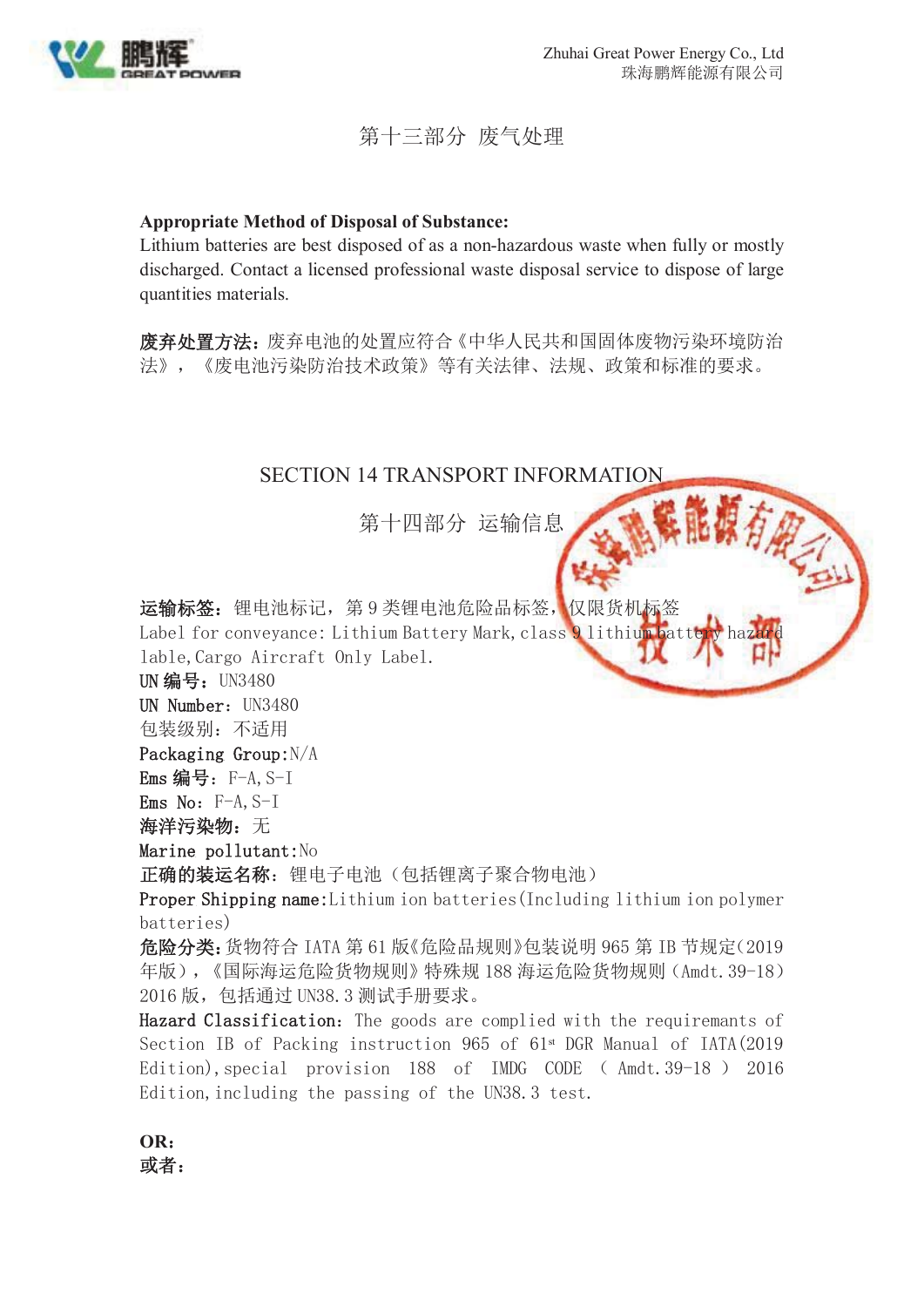

第十三部分 废气处理

### **Appropriate Method of Disposal of Substance:**

Lithium batteries are best disposed of as a non-hazardous waste when fully or mostly discharged. Contact a licensed professional waste disposal service to dispose of large quantities materials.

废弃处置方法:废弃电池的处置应符合《中华人民共和国固体废物污染环境防治 法》,《废电池污染防治技术政策》等有关法律、法规、政策和标准的要求。

### SECTION 14 TRANSPORT INFORMATION

第十四部分 运输信息

 $\frac{1}{2}$ 运输标签:锂电电标记,第9类锂电池危险品标签,仅限货机标签 Label for conveyance: Lithium Battery Mark, class 9 lithium bat lable,Cargo Aircraft Only Label. UN 编号:UN3480 UN Number: UN3480 包装级别:不适用 Packaging Group:N/A Ems 编号: F-A, S-I Ems No:  $F-A, S-I$ 海洋污染物: 无 Marine pollutant:No 正确的装运名称: 锂电子电池(包括锂离子聚合物电池) Proper Shipping name:Lithium ion batteries(Including lithium ion polymer batteries) 危险分类:货物符合 IATA 第 61 版《危险品规则》包装说明 965 第 IB 节规定(2019 年版),《国际海运危险货物规则》特殊规 188 海运危险货物规则(Amdt.39-18) 2016 版,包括通过 UN38.3 测试手册要求。 Hazard Classification: The goods are complied with the requiremants of

Section IB of Packing instruction 965 of 61<sup>st</sup> DGR Manual of IATA(2019 Edition), special provision 188 of IMDG CODE (Amdt. 39-18) 2016 Edition,including the passing of the UN38.3 test.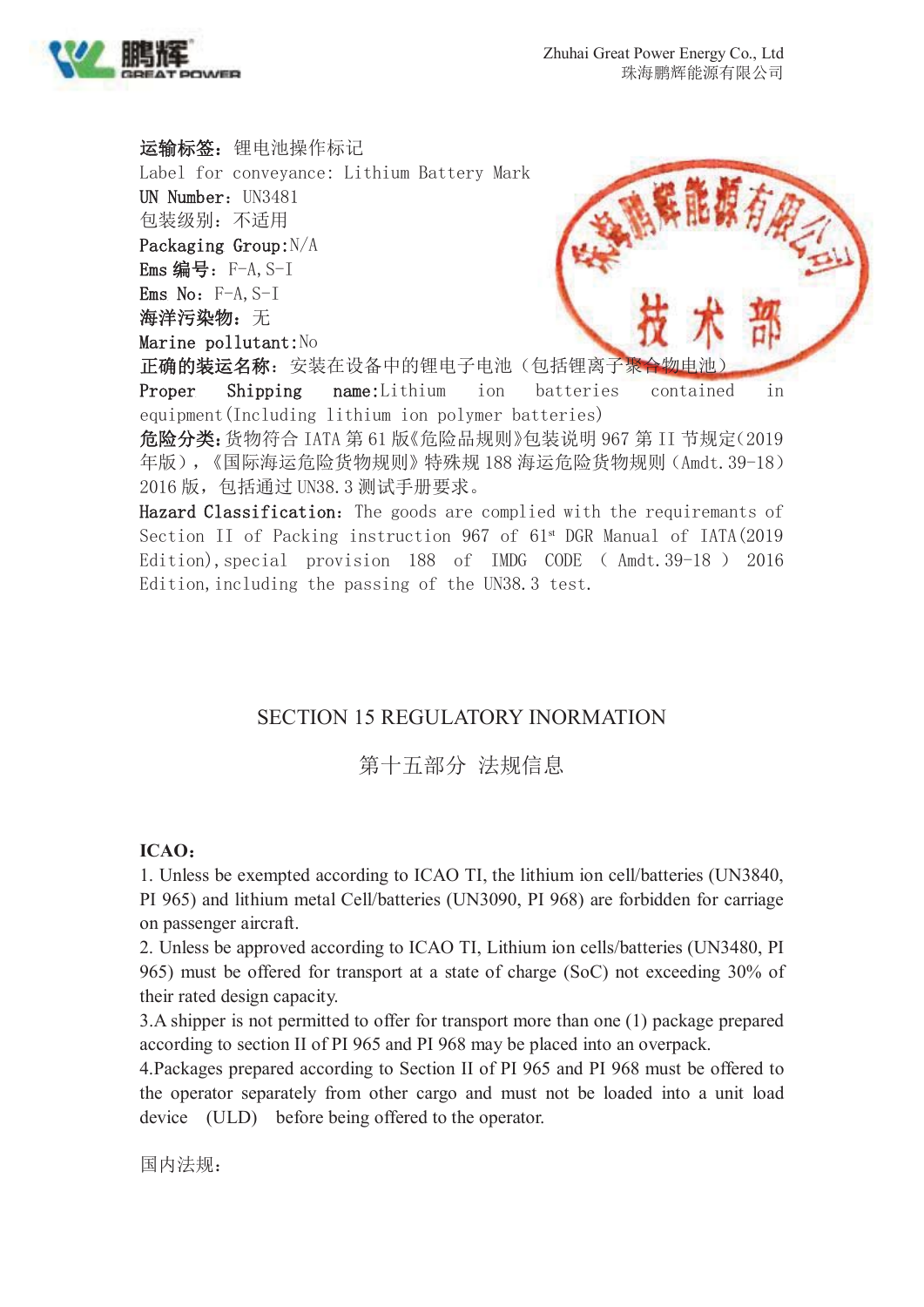

运输标签: 锂电池操作标记 Label for conveyance: Lithium Battery Mark UN Number: UN3481 包装级别:不适用 Packaging Group:N/A Ems 编号: F-A, S-I Ems No:  $F-A, S-I$ 海洋污染物: 无 Marine pollutant:No 正确的装运名称: 安装在设备中的锂电子电池(包括锂离子聚



Proper Shipping name:Lithium ion batteries contained in equipment(Including lithium ion polymer batteries)

危险分类:货物符合 IATA 第 61 版《危险品规则》包装说明 967 第 II 节规定(2019 年版),《国际海运危险货物规则》特殊规 188 海运危险货物规则(Amdt.39-18) 2016 版,包括通过 UN38.3 测试手册要求。

Hazard Classification: The goods are complied with the requiremants of Section II of Packing instruction 967 of  $61<sup>st</sup>$  DGR Manual of IATA(2019 Edition), special provision 188 of IMDG CODE (Amdt. 39-18) 2016 Edition,including the passing of the UN38.3 test.

# SECTION 15 REGULATORY INORMATION

第十五部分 法规信息

### **ICAO**:

1. Unless be exempted according to ICAO TI, the lithium ion cell/batteries (UN3840, PI 965) and lithium metal Cell/batteries (UN3090, PI 968) are forbidden for carriage on passenger aircraft.

2. Unless be approved according to ICAO TI, Lithium ion cells/batteries (UN3480, PI 965) must be offered for transport at a state of charge (SoC) not exceeding 30% of their rated design capacity.

3.A shipper is not permitted to offer for transport more than one (1) package prepared according to section II of PI 965 and PI 968 may be placed into an overpack.

4.Packages prepared according to Section II of PI 965 and PI 968 must be offered to the operator separately from other cargo and must not be loaded into a unit load device (ULD) before being offered to the operator.

国内法规: